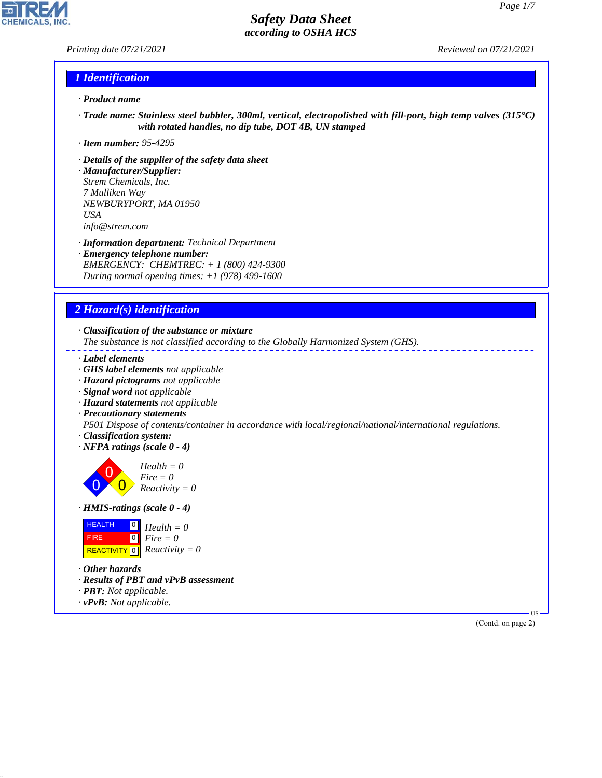### *Printing date 07/21/2021 Reviewed on 07/21/2021*

**CHEMICALS, INC** 

## *1 Identification*

- *· Product name*
- *· Trade name: Stainless steel bubbler, 300ml, vertical, electropolished with fill-port, high temp valves (315°C) with rotated handles, no dip tube, DOT 4B, UN stamped*
- *· Item number: 95-4295*
- *· Details of the supplier of the safety data sheet*
- *· Manufacturer/Supplier: Strem Chemicals, Inc. 7 Mulliken Way NEWBURYPORT, MA 01950 USA info@strem.com*
- *· Information department: Technical Department*
- *· Emergency telephone number: EMERGENCY: CHEMTREC: + 1 (800) 424-9300 During normal opening times: +1 (978) 499-1600*

## *2 Hazard(s) identification*

*· Classification of the substance or mixture*

*The substance is not classified according to the Globally Harmonized System (GHS).*

- *· Label elements*
- *· GHS label elements not applicable*
- *· Hazard pictograms not applicable*
- *· Signal word not applicable*
- *· Hazard statements not applicable*
- *· Precautionary statements*

*P501 Dispose of contents/container in accordance with local/regional/national/international regulations.*

- *· Classification system:*
- *· NFPA ratings (scale 0 4)*

0 0  $\overline{\mathbf{0}}$ *Health = 0 Fire = 0 Reactivity = 0*

*· HMIS-ratings (scale 0 - 4)*

| <b>HEALTH</b> | $\overline{\mathbf{P}}$ Health = 0           |
|---------------|----------------------------------------------|
| <b>FIRE</b>   | $\mathbf{I}^{\mathsf{O}}$ Fire $=0$          |
|               | REACTIVITY $\boxed{0}$ <i>Reactivity</i> = 0 |

*· Other hazards*

44.1.1

- *· Results of PBT and vPvB assessment*
- *· PBT: Not applicable.*
- *· vPvB: Not applicable.*

(Contd. on page 2)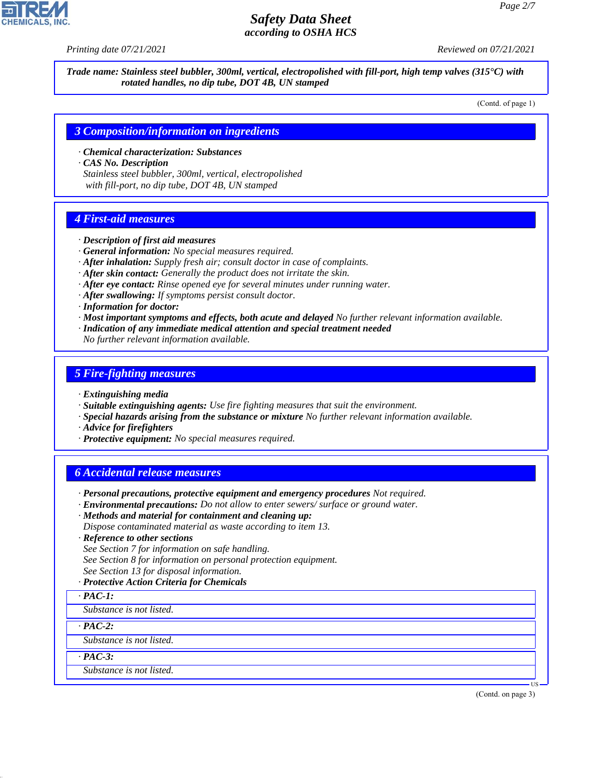

*Printing date 07/21/2021 Reviewed on 07/21/2021*

*Trade name: Stainless steel bubbler, 300ml, vertical, electropolished with fill-port, high temp valves (315°C) with rotated handles, no dip tube, DOT 4B, UN stamped*

(Contd. of page 1)

#### *3 Composition/information on ingredients*

*· Chemical characterization: Substances*

*· CAS No. Description*

*Stainless steel bubbler, 300ml, vertical, electropolished with fill-port, no dip tube, DOT 4B, UN stamped*

### *4 First-aid measures*

- *· Description of first aid measures*
- *· General information: No special measures required.*
- *· After inhalation: Supply fresh air; consult doctor in case of complaints.*
- *· After skin contact: Generally the product does not irritate the skin.*
- *· After eye contact: Rinse opened eye for several minutes under running water.*
- *· After swallowing: If symptoms persist consult doctor.*
- *· Information for doctor:*
- *· Most important symptoms and effects, both acute and delayed No further relevant information available.*
- *· Indication of any immediate medical attention and special treatment needed*
- *No further relevant information available.*

### *5 Fire-fighting measures*

- *· Extinguishing media*
- *· Suitable extinguishing agents: Use fire fighting measures that suit the environment.*
- *· Special hazards arising from the substance or mixture No further relevant information available.*
- *· Advice for firefighters*
- *· Protective equipment: No special measures required.*

### *6 Accidental release measures*

- *· Personal precautions, protective equipment and emergency procedures Not required.*
- *· Environmental precautions: Do not allow to enter sewers/ surface or ground water.*
- *· Methods and material for containment and cleaning up:*
- *Dispose contaminated material as waste according to item 13.*
- *· Reference to other sections*
- *See Section 7 for information on safe handling.*
- *See Section 8 for information on personal protection equipment.*
- *See Section 13 for disposal information.*
- *· Protective Action Criteria for Chemicals*

#### *· PAC-1:*

*Substance is not listed.*

*· PAC-2:*

*Substance is not listed.*

*· PAC-3:*

44.1.1

*Substance is not listed.*

(Contd. on page 3)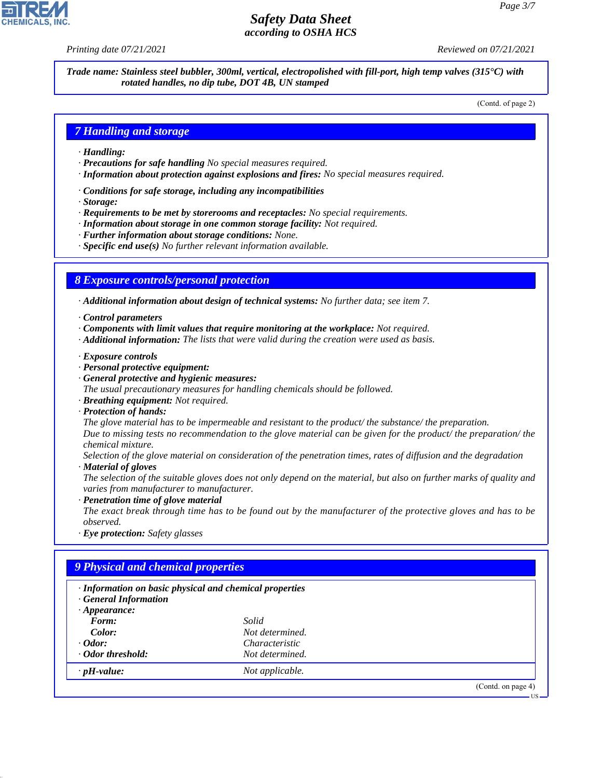*Printing date 07/21/2021 Reviewed on 07/21/2021*

*Trade name: Stainless steel bubbler, 300ml, vertical, electropolished with fill-port, high temp valves (315°C) with rotated handles, no dip tube, DOT 4B, UN stamped*

(Contd. of page 2)

## *7 Handling and storage*

- *· Handling:*
- *· Precautions for safe handling No special measures required.*
- *· Information about protection against explosions and fires: No special measures required.*
- *· Conditions for safe storage, including any incompatibilities*
- *· Storage:*
- *· Requirements to be met by storerooms and receptacles: No special requirements.*
- *· Information about storage in one common storage facility: Not required.*
- *· Further information about storage conditions: None.*
- *· Specific end use(s) No further relevant information available.*

### *8 Exposure controls/personal protection*

*· Additional information about design of technical systems: No further data; see item 7.*

- *· Control parameters*
- *· Components with limit values that require monitoring at the workplace: Not required.*
- *· Additional information: The lists that were valid during the creation were used as basis.*
- *· Exposure controls*
- *· Personal protective equipment:*
- *· General protective and hygienic measures:*
- *The usual precautionary measures for handling chemicals should be followed.*
- *· Breathing equipment: Not required.*
- *· Protection of hands:*

*The glove material has to be impermeable and resistant to the product/ the substance/ the preparation. Due to missing tests no recommendation to the glove material can be given for the product/ the preparation/ the chemical mixture.*

*Selection of the glove material on consideration of the penetration times, rates of diffusion and the degradation · Material of gloves*

*The selection of the suitable gloves does not only depend on the material, but also on further marks of quality and varies from manufacturer to manufacturer.*

*· Penetration time of glove material*

*The exact break through time has to be found out by the manufacturer of the protective gloves and has to be observed.*

*· Eye protection: Safety glasses*

## *9 Physical and chemical properties*

| · Information on basic physical and chemical properties<br><b>General Information</b> |                 |                    |
|---------------------------------------------------------------------------------------|-----------------|--------------------|
| $\cdot$ Appearance:                                                                   |                 |                    |
| Form:                                                                                 | Solid           |                    |
| Color:                                                                                | Not determined. |                    |
| $\cdot$ Odor:                                                                         | Characteristic  |                    |
| ⋅ Odor threshold:                                                                     | Not determined. |                    |
| $\cdot$ pH-value:                                                                     | Not applicable. |                    |
|                                                                                       |                 | (Contd. on page 4) |
|                                                                                       |                 | - US               |



44.1.1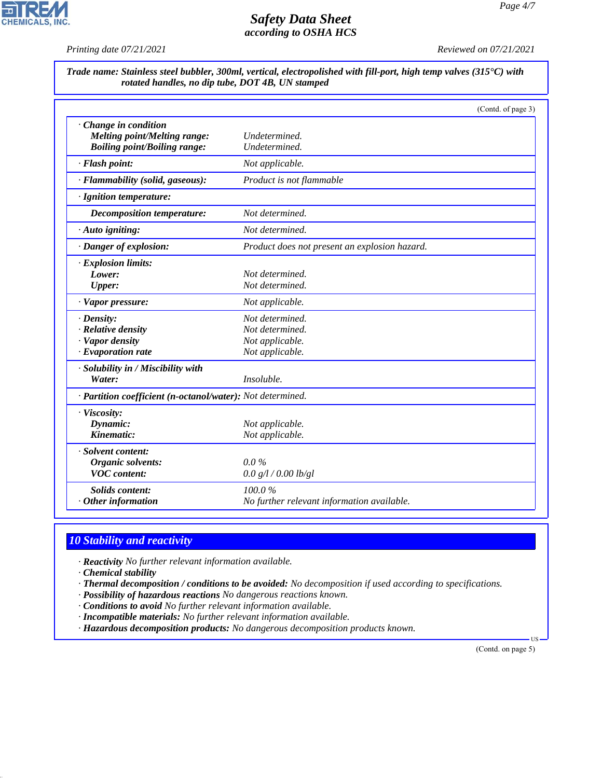*Printing date 07/21/2021 Reviewed on 07/21/2021*

 $\overline{\phantom{a}}$ 

**CHEMICALS, INC.** 

| Trade name: Stainless steel bubbler, 300ml, vertical, electropolished with fill-port, high temp valves (315°C) with |  |  |
|---------------------------------------------------------------------------------------------------------------------|--|--|
| rotated handles, no dip tube, DOT 4B, UN stamped                                                                    |  |  |

|                                                                     | (Contd. of page 3)                            |  |
|---------------------------------------------------------------------|-----------------------------------------------|--|
| Change in condition                                                 |                                               |  |
| Melting point/Melting range:<br><b>Boiling point/Boiling range:</b> | Undetermined.<br>Undetermined.                |  |
|                                                                     |                                               |  |
| · Flash point:                                                      | Not applicable.                               |  |
| · Flammability (solid, gaseous):                                    | Product is not flammable                      |  |
| · Ignition temperature:                                             |                                               |  |
| Decomposition temperature:                                          | Not determined.                               |  |
| · Auto igniting:                                                    | Not determined.                               |  |
| · Danger of explosion:                                              | Product does not present an explosion hazard. |  |
| · Explosion limits:                                                 |                                               |  |
| Lower:                                                              | Not determined.                               |  |
| Upper:                                                              | Not determined.                               |  |
| · Vapor pressure:                                                   | Not applicable.                               |  |
| $\cdot$ Density:                                                    | Not determined.                               |  |
| · Relative density                                                  | Not determined.                               |  |
| · Vapor density                                                     | Not applicable.                               |  |
| $\cdot$ Evaporation rate                                            | Not applicable.                               |  |
| · Solubility in / Miscibility with                                  |                                               |  |
| Water:                                                              | Insoluble.                                    |  |
| · Partition coefficient (n-octanol/water): Not determined.          |                                               |  |
| · Viscosity:                                                        |                                               |  |
| Dynamic:                                                            | Not applicable.                               |  |
| Kinematic:                                                          | Not applicable.                               |  |
| · Solvent content:                                                  |                                               |  |
| Organic solvents:                                                   | $0.0\%$                                       |  |
| <b>VOC</b> content:                                                 | 0.0 g/l / 0.00 lb/gl                          |  |
| Solids content:                                                     | 100.0%                                        |  |
| $·$ Other information                                               | No further relevant information available.    |  |

# *10 Stability and reactivity*

*· Reactivity No further relevant information available.*

*· Chemical stability*

44.1.1

*· Thermal decomposition / conditions to be avoided: No decomposition if used according to specifications.*

- *· Possibility of hazardous reactions No dangerous reactions known.*
- *· Conditions to avoid No further relevant information available.*

*· Incompatible materials: No further relevant information available.*

*· Hazardous decomposition products: No dangerous decomposition products known.*

(Contd. on page 5)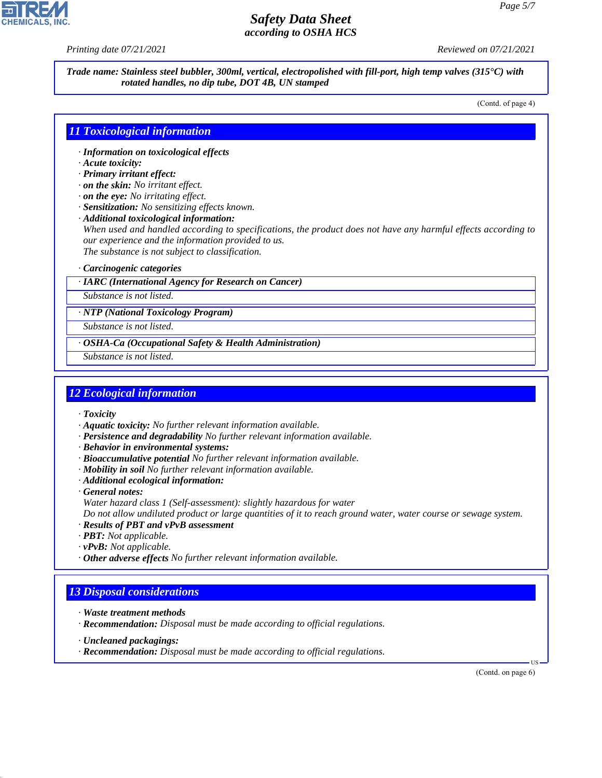*Printing date 07/21/2021 Reviewed on 07/21/2021*

*Trade name: Stainless steel bubbler, 300ml, vertical, electropolished with fill-port, high temp valves (315°C) with rotated handles, no dip tube, DOT 4B, UN stamped*

(Contd. of page 4)

## *11 Toxicological information*

- *· Information on toxicological effects*
- *· Acute toxicity:*
- *· Primary irritant effect:*
- *· on the skin: No irritant effect.*
- *· on the eye: No irritating effect.*
- *· Sensitization: No sensitizing effects known.*
- *· Additional toxicological information:*

*When used and handled according to specifications, the product does not have any harmful effects according to our experience and the information provided to us.*

*The substance is not subject to classification.*

#### *· Carcinogenic categories*

#### *· IARC (International Agency for Research on Cancer)*

*Substance is not listed.*

*· NTP (National Toxicology Program)*

*Substance is not listed.*

- *· OSHA-Ca (Occupational Safety & Health Administration)*
- *Substance is not listed.*

#### *12 Ecological information*

- *· Toxicity*
- *· Aquatic toxicity: No further relevant information available.*
- *· Persistence and degradability No further relevant information available.*
- *· Behavior in environmental systems:*
- *· Bioaccumulative potential No further relevant information available.*
- *· Mobility in soil No further relevant information available.*
- *· Additional ecological information:*

*· General notes: Water hazard class 1 (Self-assessment): slightly hazardous for water*

*Do not allow undiluted product or large quantities of it to reach ground water, water course or sewage system.*

- *· Results of PBT and vPvB assessment*
- *· PBT: Not applicable.*
- *· vPvB: Not applicable.*
- *· Other adverse effects No further relevant information available.*

### *13 Disposal considerations*

- *· Waste treatment methods*
- *· Recommendation: Disposal must be made according to official regulations.*
- *· Uncleaned packagings:*

44.1.1

*· Recommendation: Disposal must be made according to official regulations.*

(Contd. on page 6)

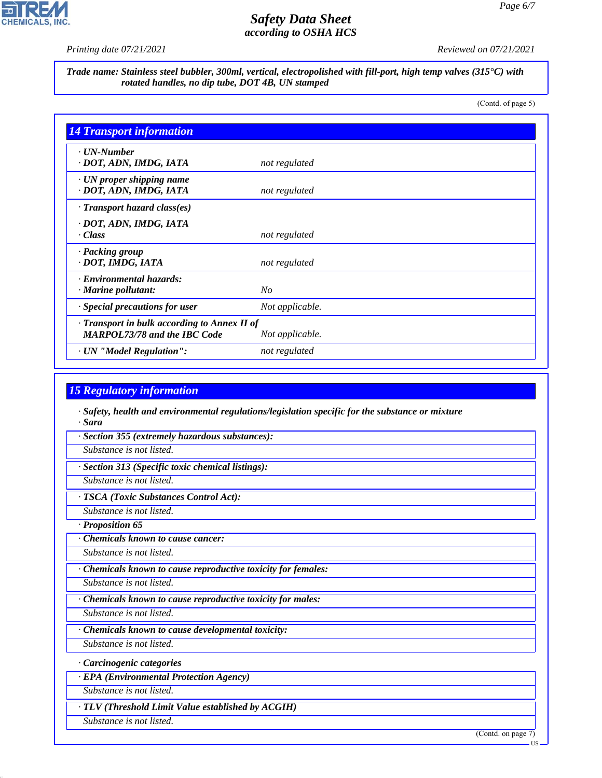## $\overline{\phantom{a}}$ **CHEMICALS, INC.**

# *Safety Data Sheet according to OSHA HCS*

*Printing date 07/21/2021 Reviewed on 07/21/2021*

*Trade name: Stainless steel bubbler, 300ml, vertical, electropolished with fill-port, high temp valves (315°C) with rotated handles, no dip tube, DOT 4B, UN stamped*

(Contd. of page 5)

| <b>14 Transport information</b>                                                     |                 |
|-------------------------------------------------------------------------------------|-----------------|
| $\cdot$ UN-Number<br>· DOT, ADN, IMDG, IATA                                         | not regulated   |
| $\cdot$ UN proper shipping name<br>· DOT, ADN, IMDG, IATA                           | not regulated   |
| $\cdot$ Transport hazard class(es)                                                  |                 |
| · DOT, ADN, IMDG, IATA<br>$\cdot Class$                                             | not regulated   |
| · Packing group<br>· DOT, IMDG, IATA                                                | not regulated   |
| · Environmental hazards:<br>$\cdot$ Marine pollutant:                               | No              |
| · Special precautions for user                                                      | Not applicable. |
| · Transport in bulk according to Annex II of<br><b>MARPOL73/78 and the IBC Code</b> | Not applicable. |
| · UN "Model Regulation":                                                            | not regulated   |

## *15 Regulatory information*

- *· Safety, health and environmental regulations/legislation specific for the substance or mixture · Sara*
- *· Section 355 (extremely hazardous substances):*
- *Substance is not listed.*
- *· Section 313 (Specific toxic chemical listings):*
- *Substance is not listed.*

### *· TSCA (Toxic Substances Control Act):*

- *Substance is not listed.*
- *· Proposition 65*
- *· Chemicals known to cause cancer:*
- *Substance is not listed.*
- *· Chemicals known to cause reproductive toxicity for females:*
- *Substance is not listed.*
- *· Chemicals known to cause reproductive toxicity for males:*
- *Substance is not listed. · Chemicals known to cause developmental toxicity:*
- *Substance is not listed.*
- *· Carcinogenic categories*
- *· EPA (Environmental Protection Agency)*
- *Substance is not listed.*
- *· TLV (Threshold Limit Value established by ACGIH)*
- *Substance is not listed.*

44.1.1

(Contd. on page 7)